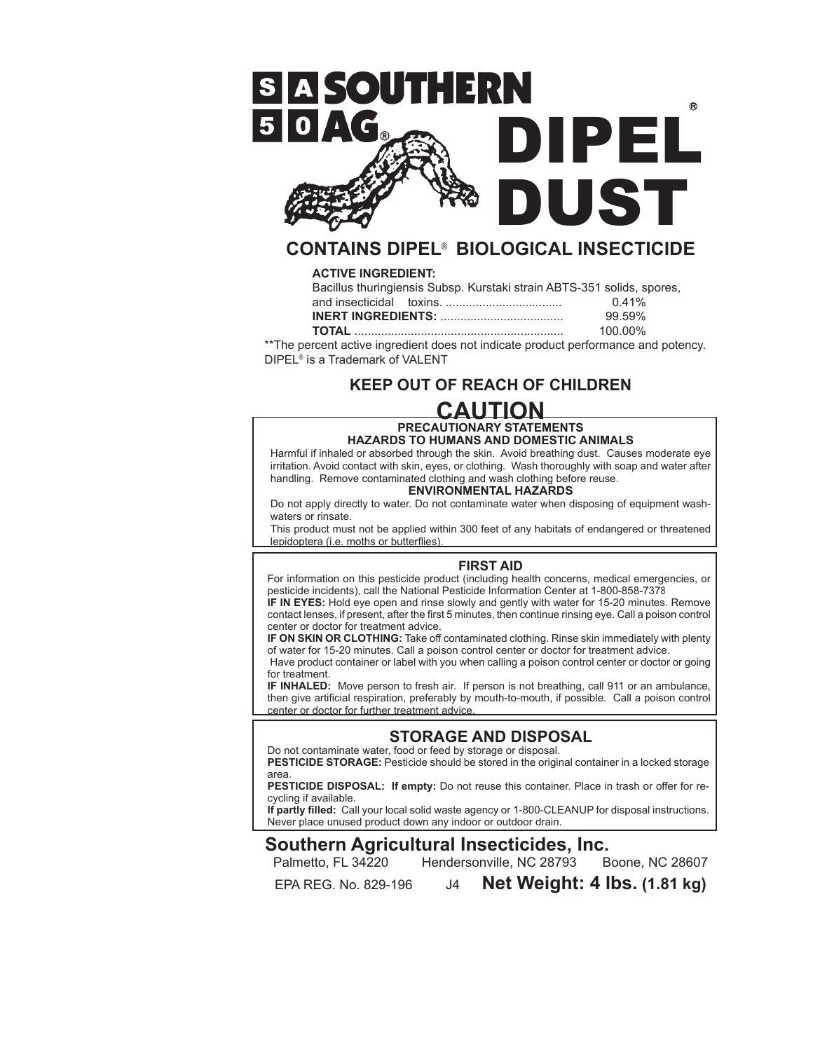

## **CONTAINS DIPEL**® **BIOLOGICAL INSECTICIDE**

#### **ACTIVE INGREDIENT:**

|  | Bacillus thuringiensis Subsp. Kurstaki strain ABTS-351 solids, spores, |          |
|--|------------------------------------------------------------------------|----------|
|  |                                                                        | $0.41\%$ |
|  |                                                                        | 99.59%   |
|  |                                                                        |          |

**TOTAL** ............................................................... 100.00% \*\*The percent active ingredient does not indicate product performance and potency. DIPEL® is a Trademark of VALENT

## **KEEP OUT OF REACH OF CHILDREN**

## **CAUTION**

#### **PRECAUTIONARY STATEMENTS HAZARDS TO HUMANS AND DOMESTIC ANIMALS**

Harmful if inhaled or absorbed through the skin. Avoid breathing dust. Causes moderate eye irritation. Avoid contact with skin, eyes, or clothing. Wash thoroughly with soap and water after handling. Remove contaminated clothing and wash clothing before reuse.

#### **ENVIRONMENTAL HAZARDS**

Do not apply directly to water. Do not contaminate water when disposing of equipment washwaters or rinsate.

This product must not be applied within 300 feet of any habitats of endangered or threatened lepidoptera (i.e. moths or butterflies).

#### **FIRST AID**

For information on this pesticide product (including health concerns, medical emergencies, or pesticide incidents), call the National Pesticide Information Center at 1-800-858-7378

**IF IN EYES:** Hold eye open and rinse slowly and gently with water for 15-20 minutes. Remove contact lenses, if present, after the first 5 minutes, then continue rinsing eye. Call a poison control center or doctor for treatment advice.

**IF ON SKIN OR CLOTHING:** Take off contaminated clothing. Rinse skin immediately with plenty of water for 15-20 minutes. Call a poison control center or doctor for treatment advice.

Have product container or label with you when calling a poison control center or doctor or going for treatment.

**IF INHALED:** Move person to fresh air. If person is not breathing, call 911 or an ambulance, then give artificial respiration, preferably by mouth-to-mouth, if possible. Call a poison control center or doctor for further treatment advice.

### **STORAGE AND DISPOSAL**

Do not contaminate water, food or feed by storage or disposal.

**PESTICIDE STORAGE:** Pesticide should be stored in the original container in a locked storage area.

**PESTICIDE DISPOSAL: If empty:** Do not reuse this container. Place in trash or offer for recycling if available.

**If partly filled:** Call your local solid waste agency or 1-800-CLEANUP for disposal instructions. Never place unused product down any indoor or outdoor drain.

# **Southern Agricultural Insecticides, Inc.**<br>Palmetto, FL 34220 Hendersonville, NC 28793 Boone, NC 28607

Hendersonville, NC 28793

EPA REG. No. 829-196 J4 **Net Weight: 4 lbs. (1.81 kg)**